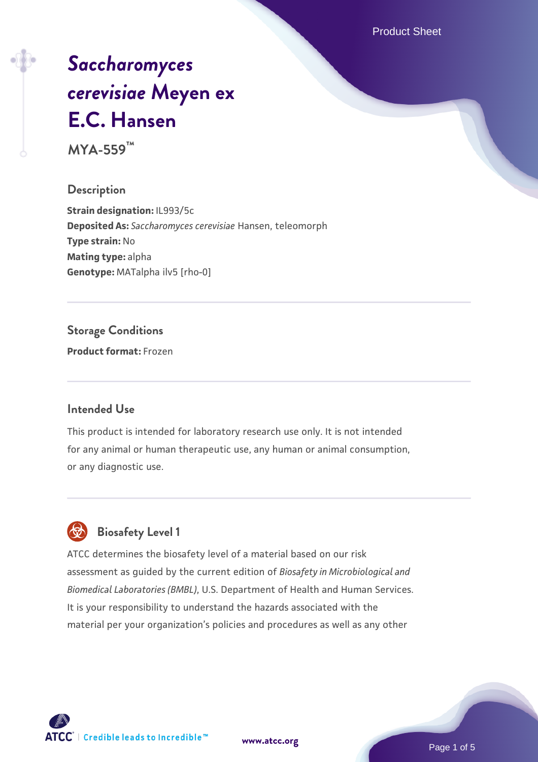Product Sheet

# *[Saccharomyces](https://www.atcc.org/products/mya-559) [cerevisiae](https://www.atcc.org/products/mya-559)* **[Meyen ex](https://www.atcc.org/products/mya-559) [E.C. Hansen](https://www.atcc.org/products/mya-559)**

**MYA-559™**

**Description**

**Strain designation:** IL993/5c **Deposited As:** *Saccharomyces cerevisiae* Hansen, teleomorph **Type strain:** No **Mating type:** alpha **Genotype:** MATalpha ilv5 [rho-0]

**Storage Conditions**

**Product format:** Frozen

#### **Intended Use**

This product is intended for laboratory research use only. It is not intended for any animal or human therapeutic use, any human or animal consumption, or any diagnostic use.



# **Biosafety Level 1**

ATCC determines the biosafety level of a material based on our risk assessment as guided by the current edition of *Biosafety in Microbiological and Biomedical Laboratories (BMBL)*, U.S. Department of Health and Human Services. It is your responsibility to understand the hazards associated with the material per your organization's policies and procedures as well as any other

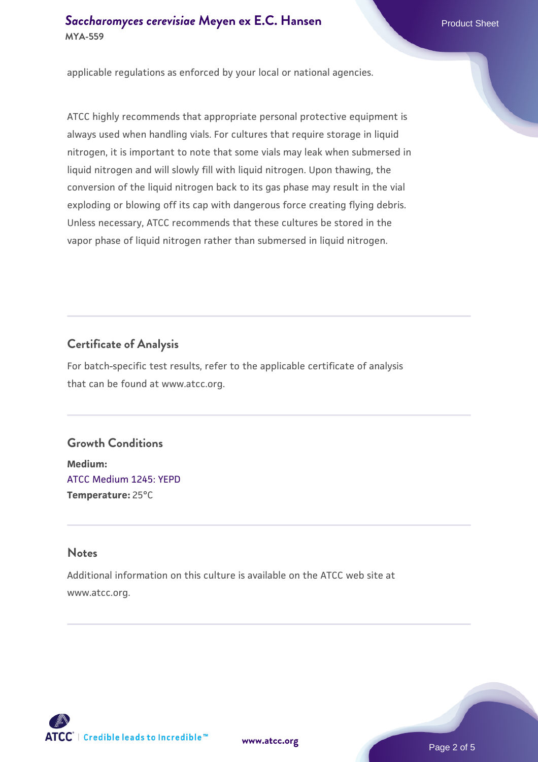applicable regulations as enforced by your local or national agencies.

ATCC highly recommends that appropriate personal protective equipment is always used when handling vials. For cultures that require storage in liquid nitrogen, it is important to note that some vials may leak when submersed in liquid nitrogen and will slowly fill with liquid nitrogen. Upon thawing, the conversion of the liquid nitrogen back to its gas phase may result in the vial exploding or blowing off its cap with dangerous force creating flying debris. Unless necessary, ATCC recommends that these cultures be stored in the vapor phase of liquid nitrogen rather than submersed in liquid nitrogen.

# **Certificate of Analysis**

For batch-specific test results, refer to the applicable certificate of analysis that can be found at www.atcc.org.

#### **Growth Conditions**

**Medium:**  [ATCC Medium 1245: YEPD](https://www.atcc.org/-/media/product-assets/documents/microbial-media-formulations/1/2/4/5/atcc-medium-1245.pdf?rev=705ca55d1b6f490a808a965d5c072196) **Temperature:** 25°C

#### **Notes**

Additional information on this culture is available on the ATCC web site at www.atcc.org.



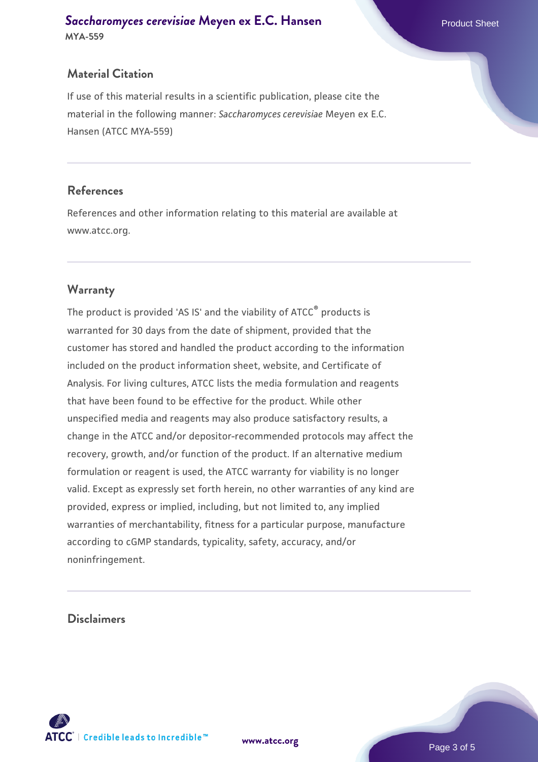# **Material Citation**

If use of this material results in a scientific publication, please cite the material in the following manner: *Saccharomyces cerevisiae* Meyen ex E.C. Hansen (ATCC MYA-559)

#### **References**

References and other information relating to this material are available at www.atcc.org.

# **Warranty**

The product is provided 'AS IS' and the viability of ATCC® products is warranted for 30 days from the date of shipment, provided that the customer has stored and handled the product according to the information included on the product information sheet, website, and Certificate of Analysis. For living cultures, ATCC lists the media formulation and reagents that have been found to be effective for the product. While other unspecified media and reagents may also produce satisfactory results, a change in the ATCC and/or depositor-recommended protocols may affect the recovery, growth, and/or function of the product. If an alternative medium formulation or reagent is used, the ATCC warranty for viability is no longer valid. Except as expressly set forth herein, no other warranties of any kind are provided, express or implied, including, but not limited to, any implied warranties of merchantability, fitness for a particular purpose, manufacture according to cGMP standards, typicality, safety, accuracy, and/or noninfringement.

#### **Disclaimers**



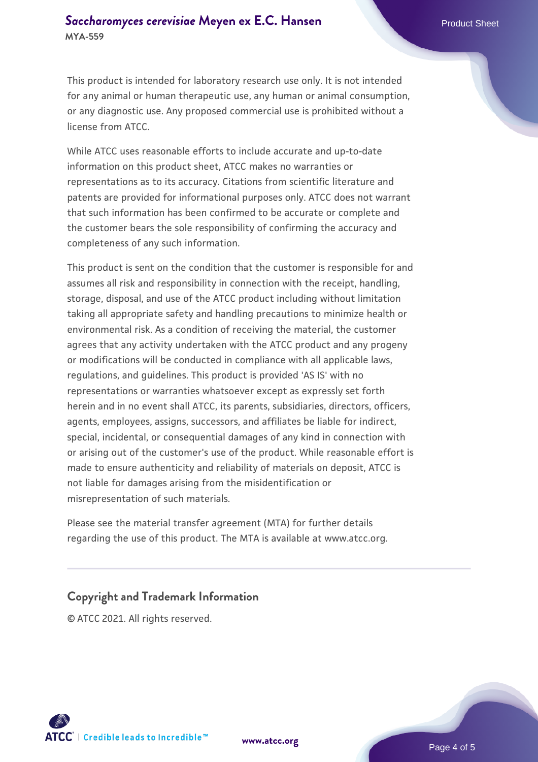This product is intended for laboratory research use only. It is not intended for any animal or human therapeutic use, any human or animal consumption, or any diagnostic use. Any proposed commercial use is prohibited without a license from ATCC.

While ATCC uses reasonable efforts to include accurate and up-to-date information on this product sheet, ATCC makes no warranties or representations as to its accuracy. Citations from scientific literature and patents are provided for informational purposes only. ATCC does not warrant that such information has been confirmed to be accurate or complete and the customer bears the sole responsibility of confirming the accuracy and completeness of any such information.

This product is sent on the condition that the customer is responsible for and assumes all risk and responsibility in connection with the receipt, handling, storage, disposal, and use of the ATCC product including without limitation taking all appropriate safety and handling precautions to minimize health or environmental risk. As a condition of receiving the material, the customer agrees that any activity undertaken with the ATCC product and any progeny or modifications will be conducted in compliance with all applicable laws, regulations, and guidelines. This product is provided 'AS IS' with no representations or warranties whatsoever except as expressly set forth herein and in no event shall ATCC, its parents, subsidiaries, directors, officers, agents, employees, assigns, successors, and affiliates be liable for indirect, special, incidental, or consequential damages of any kind in connection with or arising out of the customer's use of the product. While reasonable effort is made to ensure authenticity and reliability of materials on deposit, ATCC is not liable for damages arising from the misidentification or misrepresentation of such materials.

Please see the material transfer agreement (MTA) for further details regarding the use of this product. The MTA is available at www.atcc.org.

# **Copyright and Trademark Information**

© ATCC 2021. All rights reserved.